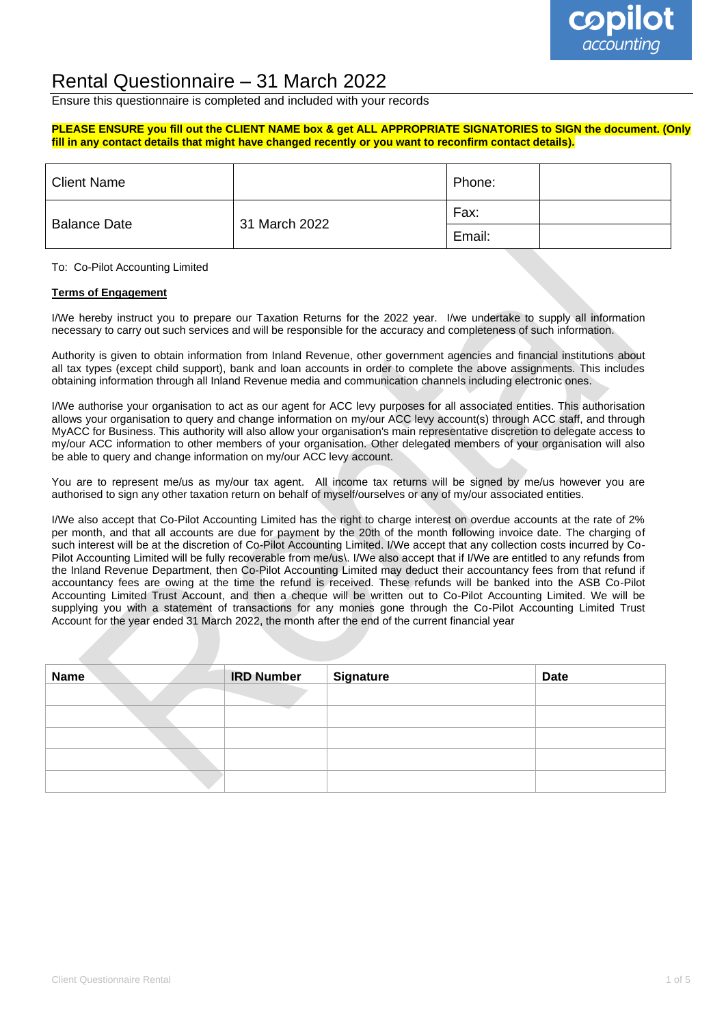

### Rental Questionnaire – 31 March 2022

Ensure this questionnaire is completed and included with your records

#### **PLEASE ENSURE you fill out the CLIENT NAME box & get ALL APPROPRIATE SIGNATORIES to SIGN the document. (Only fill in any contact details that might have changed recently or you want to reconfirm contact details).**

| <b>Client Name</b>  |               | Phone: |  |
|---------------------|---------------|--------|--|
| <b>Balance Date</b> | 31 March 2022 | Fax:   |  |
|                     |               | Email: |  |

To: Co-Pilot Accounting Limited

#### **Terms of Engagement**

I/We hereby instruct you to prepare our Taxation Returns for the 2022 year. I/we undertake to supply all information necessary to carry out such services and will be responsible for the accuracy and completeness of such information.

Authority is given to obtain information from Inland Revenue, other government agencies and financial institutions about all tax types (except child support), bank and loan accounts in order to complete the above assignments. This includes obtaining information through all Inland Revenue media and communication channels including electronic ones.

I/We authorise your organisation to act as our agent for ACC levy purposes for all associated entities. This authorisation allows your organisation to query and change information on my/our ACC levy account(s) through ACC staff, and through MyACC for Business. This authority will also allow your organisation's main representative discretion to delegate access to my/our ACC information to other members of your organisation. Other delegated members of your organisation will also be able to query and change information on my/our ACC levy account.

You are to represent me/us as my/our tax agent. All income tax returns will be signed by me/us however you are authorised to sign any other taxation return on behalf of myself/ourselves or any of my/our associated entities.

I/We also accept that Co-Pilot Accounting Limited has the right to charge interest on overdue accounts at the rate of 2% per month, and that all accounts are due for payment by the 20th of the month following invoice date. The charging of such interest will be at the discretion of Co-Pilot Accounting Limited. I/We accept that any collection costs incurred by Co-Pilot Accounting Limited will be fully recoverable from me/us\. I/We also accept that if I/We are entitled to any refunds from the Inland Revenue Department, then Co-Pilot Accounting Limited may deduct their accountancy fees from that refund if accountancy fees are owing at the time the refund is received. These refunds will be banked into the ASB Co-Pilot Accounting Limited Trust Account, and then a cheque will be written out to Co-Pilot Accounting Limited. We will be supplying you with a statement of transactions for any monies gone through the Co-Pilot Accounting Limited Trust Account for the year ended 31 March 2022, the month after the end of the current financial year

| <b>Name</b> | <b>IRD Number</b> | <b>Signature</b> | <b>Date</b> |
|-------------|-------------------|------------------|-------------|
|             |                   |                  |             |
|             |                   |                  |             |
|             |                   |                  |             |
|             |                   |                  |             |
|             |                   |                  |             |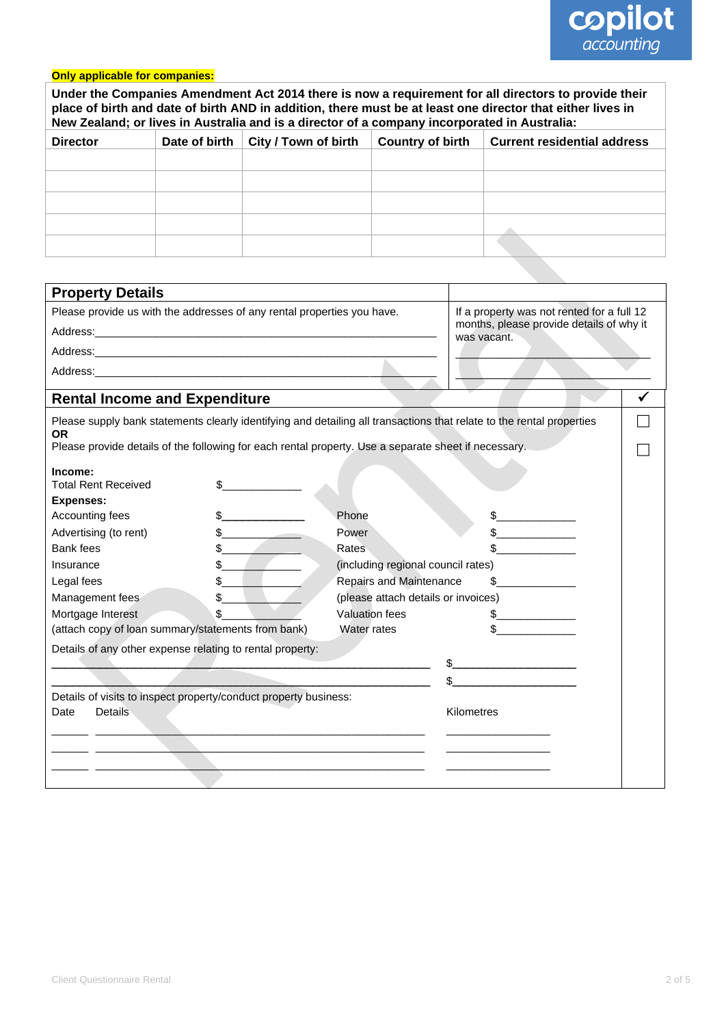

## **Only applicable for companies:**

| Under the Companies Amendment Act 2014 there is now a requirement for all directors to provide their<br>place of birth and date of birth AND in addition, there must be at least one director that either lives in<br>New Zealand; or lives in Australia and is a director of a company incorporated in Australia: |               |                                                                                                      |                                     |                                                                                                                       |   |
|--------------------------------------------------------------------------------------------------------------------------------------------------------------------------------------------------------------------------------------------------------------------------------------------------------------------|---------------|------------------------------------------------------------------------------------------------------|-------------------------------------|-----------------------------------------------------------------------------------------------------------------------|---|
| <b>Director</b>                                                                                                                                                                                                                                                                                                    | Date of birth | City / Town of birth                                                                                 | <b>Country of birth</b>             | <b>Current residential address</b>                                                                                    |   |
|                                                                                                                                                                                                                                                                                                                    |               |                                                                                                      |                                     |                                                                                                                       |   |
|                                                                                                                                                                                                                                                                                                                    |               |                                                                                                      |                                     |                                                                                                                       |   |
|                                                                                                                                                                                                                                                                                                                    |               |                                                                                                      |                                     |                                                                                                                       |   |
|                                                                                                                                                                                                                                                                                                                    |               |                                                                                                      |                                     |                                                                                                                       |   |
|                                                                                                                                                                                                                                                                                                                    |               |                                                                                                      |                                     |                                                                                                                       |   |
|                                                                                                                                                                                                                                                                                                                    |               |                                                                                                      |                                     |                                                                                                                       |   |
|                                                                                                                                                                                                                                                                                                                    |               |                                                                                                      |                                     |                                                                                                                       |   |
| <b>Property Details</b>                                                                                                                                                                                                                                                                                            |               |                                                                                                      |                                     |                                                                                                                       |   |
| Please provide us with the addresses of any rental properties you have.                                                                                                                                                                                                                                            |               |                                                                                                      |                                     | If a property was not rented for a full 12                                                                            |   |
|                                                                                                                                                                                                                                                                                                                    |               |                                                                                                      |                                     | months, please provide details of why it                                                                              |   |
|                                                                                                                                                                                                                                                                                                                    |               |                                                                                                      |                                     | was vacant.                                                                                                           |   |
|                                                                                                                                                                                                                                                                                                                    |               |                                                                                                      |                                     |                                                                                                                       |   |
|                                                                                                                                                                                                                                                                                                                    |               |                                                                                                      |                                     |                                                                                                                       |   |
| <b>Rental Income and Expenditure</b>                                                                                                                                                                                                                                                                               |               |                                                                                                      |                                     |                                                                                                                       | ✔ |
| <b>OR</b>                                                                                                                                                                                                                                                                                                          |               |                                                                                                      |                                     | Please supply bank statements clearly identifying and detailing all transactions that relate to the rental properties |   |
|                                                                                                                                                                                                                                                                                                                    |               | Please provide details of the following for each rental property. Use a separate sheet if necessary. |                                     |                                                                                                                       |   |
| Income:<br><b>Total Rent Received</b>                                                                                                                                                                                                                                                                              | \$            |                                                                                                      |                                     |                                                                                                                       |   |
| <b>Expenses:</b>                                                                                                                                                                                                                                                                                                   |               |                                                                                                      |                                     |                                                                                                                       |   |
| Accounting fees                                                                                                                                                                                                                                                                                                    |               | Phone                                                                                                |                                     | \$                                                                                                                    |   |
| Advertising (to rent)                                                                                                                                                                                                                                                                                              |               | Power                                                                                                |                                     |                                                                                                                       |   |
| Bank fees                                                                                                                                                                                                                                                                                                          |               | Rates                                                                                                |                                     |                                                                                                                       |   |
| Insurance                                                                                                                                                                                                                                                                                                          |               |                                                                                                      | (including regional council rates)  |                                                                                                                       |   |
| Legal fees                                                                                                                                                                                                                                                                                                         | $\frac{1}{2}$ |                                                                                                      | <b>Repairs and Maintenance</b>      | $\mathbb{S}$                                                                                                          |   |
| Management fees                                                                                                                                                                                                                                                                                                    | \$.           |                                                                                                      | (please attach details or invoices) |                                                                                                                       |   |
| Mortgage Interest                                                                                                                                                                                                                                                                                                  | \$            |                                                                                                      | Valuation fees                      | \$                                                                                                                    |   |
| (attach copy of loan summary/statements from bank)                                                                                                                                                                                                                                                                 |               |                                                                                                      | Water rates                         | \$                                                                                                                    |   |
| Details of any other expense relating to rental property:                                                                                                                                                                                                                                                          |               |                                                                                                      |                                     |                                                                                                                       |   |
|                                                                                                                                                                                                                                                                                                                    |               |                                                                                                      |                                     |                                                                                                                       |   |
|                                                                                                                                                                                                                                                                                                                    |               |                                                                                                      |                                     |                                                                                                                       |   |
|                                                                                                                                                                                                                                                                                                                    |               | Details of visits to inspect property/conduct property business:                                     |                                     |                                                                                                                       |   |
| <b>Details</b><br>Date                                                                                                                                                                                                                                                                                             |               |                                                                                                      |                                     | Kilometres                                                                                                            |   |
|                                                                                                                                                                                                                                                                                                                    |               |                                                                                                      |                                     |                                                                                                                       |   |
|                                                                                                                                                                                                                                                                                                                    |               |                                                                                                      |                                     |                                                                                                                       |   |
|                                                                                                                                                                                                                                                                                                                    |               |                                                                                                      |                                     |                                                                                                                       |   |
|                                                                                                                                                                                                                                                                                                                    |               |                                                                                                      |                                     |                                                                                                                       |   |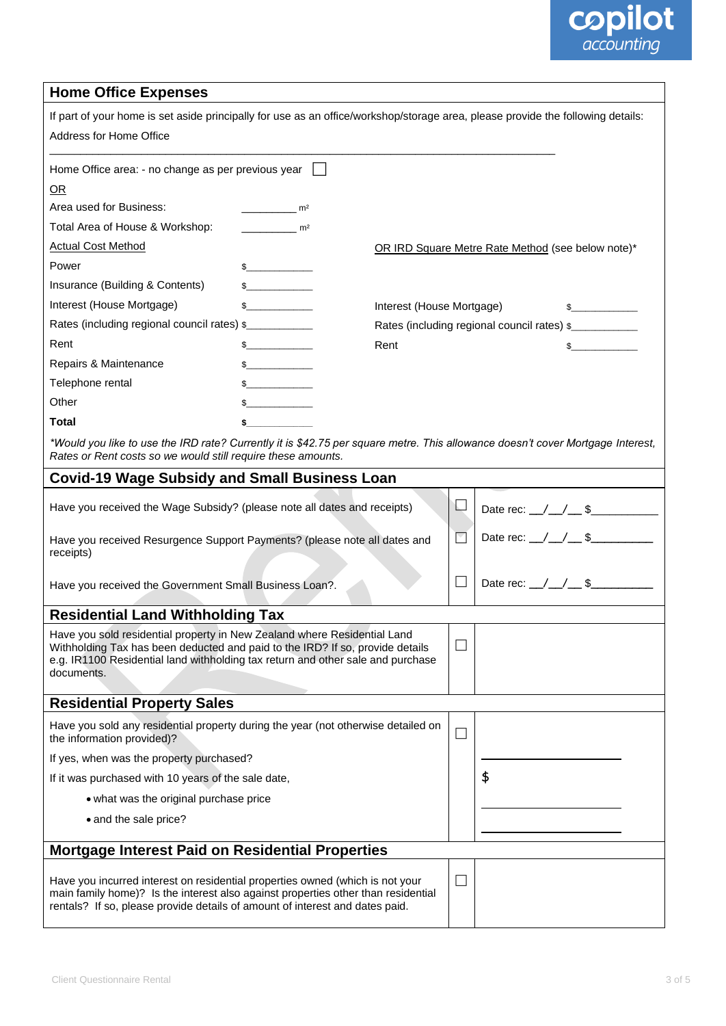# **copilot**<br>*accounting*

#### **Home Office Expenses**

| If part of your home is set aside principally for use as an office/workshop/storage area, please provide the following details:<br>Address for Home Office                                                                                                 |                           |      |                                             |                                                   |  |  |
|------------------------------------------------------------------------------------------------------------------------------------------------------------------------------------------------------------------------------------------------------------|---------------------------|------|---------------------------------------------|---------------------------------------------------|--|--|
| Home Office area: - no change as per previous year                                                                                                                                                                                                         |                           |      |                                             |                                                   |  |  |
| OR                                                                                                                                                                                                                                                         |                           |      |                                             |                                                   |  |  |
| Area used for Business:                                                                                                                                                                                                                                    | m <sup>2</sup>            |      |                                             |                                                   |  |  |
| Total Area of House & Workshop:                                                                                                                                                                                                                            | m <sup>2</sup>            |      |                                             |                                                   |  |  |
| <b>Actual Cost Method</b>                                                                                                                                                                                                                                  |                           |      |                                             | OR IRD Square Metre Rate Method (see below note)* |  |  |
| Power                                                                                                                                                                                                                                                      | $\sim$                    |      |                                             |                                                   |  |  |
| Insurance (Building & Contents)                                                                                                                                                                                                                            | s                         |      |                                             |                                                   |  |  |
| Interest (House Mortgage)                                                                                                                                                                                                                                  | Interest (House Mortgage) |      |                                             |                                                   |  |  |
| Rates (including regional council rates) \$                                                                                                                                                                                                                |                           |      | Rates (including regional council rates) \$ |                                                   |  |  |
| Rent                                                                                                                                                                                                                                                       | $\frac{1}{2}$             | Rent | $\mathbb{S}$                                |                                                   |  |  |
| Repairs & Maintenance                                                                                                                                                                                                                                      |                           |      |                                             |                                                   |  |  |
| Telephone rental                                                                                                                                                                                                                                           |                           |      |                                             |                                                   |  |  |
| Other                                                                                                                                                                                                                                                      |                           |      |                                             |                                                   |  |  |
| Total                                                                                                                                                                                                                                                      |                           |      |                                             |                                                   |  |  |
| *Would you like to use the IRD rate? Currently it is \$42.75 per square metre. This allowance doesn't cover Mortgage Interest,<br>Rates or Rent costs so we would still require these amounts.                                                             |                           |      |                                             |                                                   |  |  |
| <b>Covid-19 Wage Subsidy and Small Business Loan</b>                                                                                                                                                                                                       |                           |      |                                             |                                                   |  |  |
| Have you received the Wage Subsidy? (please note all dates and receipts)                                                                                                                                                                                   |                           |      | $\overline{\phantom{a}}$                    | Date rec: $\angle$ $\angle$ $\angle$ \$           |  |  |
| Have you received Resurgence Support Payments? (please note all dates and<br>receipts)                                                                                                                                                                     |                           |      | $\blacktriangledown$                        | Date rec: $\_\/\_\/\_\$                           |  |  |
| Have you received the Government Small Business Loan?.                                                                                                                                                                                                     |                           |      | $\Box$                                      | Date rec: $\angle$ / $\angle$ \$                  |  |  |
| <b>Residential Land Withholding Tax</b>                                                                                                                                                                                                                    |                           |      |                                             |                                                   |  |  |
| Have you sold residential property in New Zealand where Residential Land<br>Withholding Tax has been deducted and paid to the IRD? If so, provide details<br>e.g. IR1100 Residential land withholding tax return and other sale and purchase<br>documents. |                           |      | $\overline{\phantom{a}}$                    |                                                   |  |  |
| <b>Residential Property Sales</b>                                                                                                                                                                                                                          |                           |      |                                             |                                                   |  |  |
| Have you sold any residential property during the year (not otherwise detailed on<br>the information provided)?                                                                                                                                            |                           |      | $\overline{\phantom{a}}$                    |                                                   |  |  |
| If yes, when was the property purchased?                                                                                                                                                                                                                   |                           |      |                                             |                                                   |  |  |
| If it was purchased with 10 years of the sale date,                                                                                                                                                                                                        |                           |      |                                             | \$                                                |  |  |
| • what was the original purchase price                                                                                                                                                                                                                     |                           |      |                                             |                                                   |  |  |
| • and the sale price?                                                                                                                                                                                                                                      |                           |      |                                             |                                                   |  |  |
|                                                                                                                                                                                                                                                            |                           |      |                                             |                                                   |  |  |
| <b>Mortgage Interest Paid on Residential Properties</b>                                                                                                                                                                                                    |                           |      |                                             |                                                   |  |  |
| Have you incurred interest on residential properties owned (which is not your<br>main family home)? Is the interest also against properties other than residential<br>rentals? If so, please provide details of amount of interest and dates paid.         |                           |      |                                             |                                                   |  |  |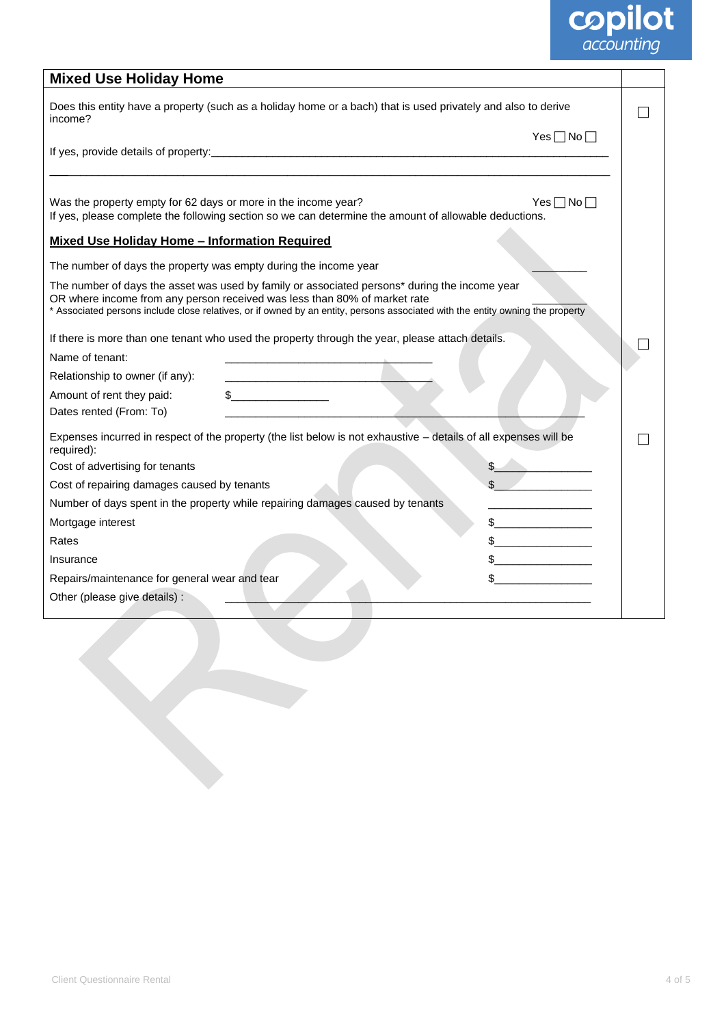# **copilot**<br>*accounting*

| <b>Mixed Use Holiday Home</b>                                                                                                                                                                                                                                                                                |                      |  |
|--------------------------------------------------------------------------------------------------------------------------------------------------------------------------------------------------------------------------------------------------------------------------------------------------------------|----------------------|--|
| Does this entity have a property (such as a holiday home or a bach) that is used privately and also to derive<br>income?                                                                                                                                                                                     |                      |  |
|                                                                                                                                                                                                                                                                                                              | Yes $\Box$ No $\Box$ |  |
| Was the property empty for 62 days or more in the income year?<br>If yes, please complete the following section so we can determine the amount of allowable deductions.                                                                                                                                      | Yes $\Box$ No $\Box$ |  |
| <b>Mixed Use Holiday Home - Information Required</b>                                                                                                                                                                                                                                                         |                      |  |
| The number of days the property was empty during the income year                                                                                                                                                                                                                                             |                      |  |
| The number of days the asset was used by family or associated persons* during the income year<br>OR where income from any person received was less than 80% of market rate<br>* Associated persons include close relatives, or if owned by an entity, persons associated with the entity owning the property |                      |  |
| If there is more than one tenant who used the property through the year, please attach details.                                                                                                                                                                                                              |                      |  |
| Name of tenant:                                                                                                                                                                                                                                                                                              |                      |  |
| Relationship to owner (if any):                                                                                                                                                                                                                                                                              |                      |  |
| $\sim$<br>Amount of rent they paid:<br>Dates rented (From: To)                                                                                                                                                                                                                                               |                      |  |
| Expenses incurred in respect of the property (the list below is not exhaustive - details of all expenses will be<br>required):                                                                                                                                                                               |                      |  |
| Cost of advertising for tenants                                                                                                                                                                                                                                                                              |                      |  |
| Cost of repairing damages caused by tenants                                                                                                                                                                                                                                                                  |                      |  |
| Number of days spent in the property while repairing damages caused by tenants                                                                                                                                                                                                                               |                      |  |
| Mortgage interest                                                                                                                                                                                                                                                                                            |                      |  |
| Rates                                                                                                                                                                                                                                                                                                        |                      |  |
| Insurance                                                                                                                                                                                                                                                                                                    |                      |  |
| Repairs/maintenance for general wear and tear                                                                                                                                                                                                                                                                |                      |  |
| Other (please give details) :                                                                                                                                                                                                                                                                                |                      |  |
|                                                                                                                                                                                                                                                                                                              |                      |  |